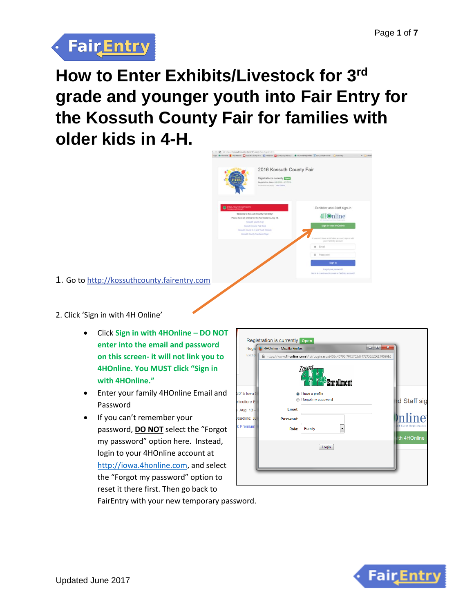

# **How to Enter Exhibits/Livestock for 3rd grade and younger youth into Fair Entry for the Kossuth County Fair for families with older kids in 4-H.**



1. Go t[o http://kossuthcounty.fairentry.com](http://kossuthcounty.fairentry.com/)

### 2. Click 'Sign in with 4H Online'

- Click **Sign in with 4HOnline – DO NOT enter into the email and password on this screen- it will not link you to 4HOnline. You MUST click "Sign in with 4HOnline."**
- Enter your family 4HOnline Email and Password
- If you can't remember your password, **DO NOT** select the "Forgot my password" option here. Instead, login to your 4HOnline account at [http://iowa.4honline.com,](http://iowa.4honline.com/) and select the "Forgot my password" option to reset it there first. Then go back to



FairEntry with your new temporary password.

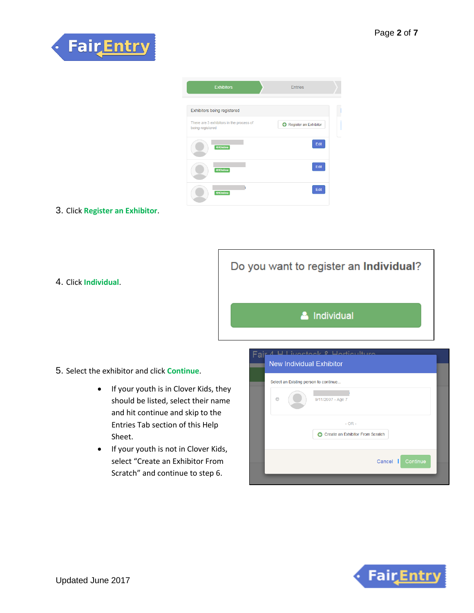



#### 3. Click **Register an Exhibitor**.

4. Click **Individual**.

Do you want to register an Individual?

& Individual

- 5. Select the exhibitor and click **Continue**.
	- If your youth is in Clover Kids, they should be listed, select their name and hit continue and skip to the Entries Tab section of this Help Sheet.
	- If your youth is not in Clover Kids, select "Create an Exhibitor From Scratch" and continue to step 6.

| Fair 4 H Livectory & Herticulture<br><b>New Individual Exhibitor</b> |  |
|----------------------------------------------------------------------|--|
| Select an Existing person to continue                                |  |
| ⋒<br>9/11/2007 - Age 7                                               |  |
| $- OR -$<br>Create an Exhibitor From Scratch<br>Θ                    |  |
| Cancel  <br>Continue                                                 |  |
|                                                                      |  |

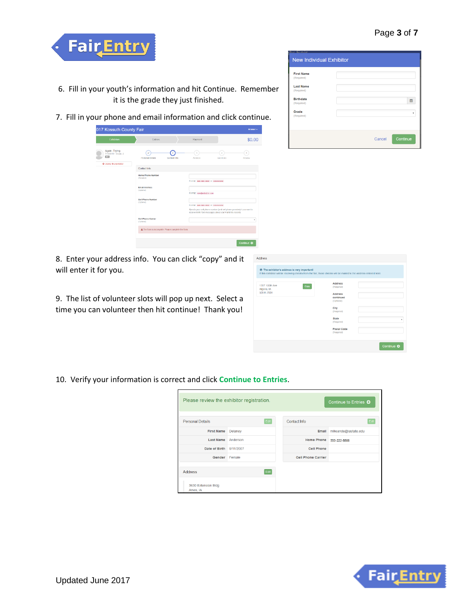

- 6. Fill in your youth's information and hit Continue. Remember it is the grade they just finished.
- 7. Fill in your phone and email information and click continue.

| <b>Exhibitors</b>                                                       | Entries                                             | Payment                            |                                                                                                                                    | \$0.00      |
|-------------------------------------------------------------------------|-----------------------------------------------------|------------------------------------|------------------------------------------------------------------------------------------------------------------------------------|-------------|
| Again, Trying<br>7/10/2010 - Grade: 2<br>451<br>O Delete this Exhibitor | <b>Personal Details</b><br>Contact Into             | $\overline{3}$<br>Address          | $\Lambda$<br>Questions                                                                                                             | 5<br>Review |
|                                                                         | Contact Info                                        |                                    |                                                                                                                                    |             |
|                                                                         | Home Phone Number<br>(Resulted)                     | Formall eus-ass-asse of sussessess |                                                                                                                                    |             |
|                                                                         | <b>Email Address</b><br>(Optional)                  | Format: news@vebsite.com           |                                                                                                                                    |             |
|                                                                         | Cell Phone Number<br>(Optional)                     | Format: eve-een-new or evereeness  |                                                                                                                                    |             |
|                                                                         |                                                     |                                    | Specify your cell phone number (and cell phone provider) if you want to<br>receive SMS Text messages about your FairEntry records. |             |
|                                                                         | Cell Phone Carrier<br>(Optional)                    |                                    |                                                                                                                                    |             |
|                                                                         | A The form is incomplete. Please complete the form. |                                    |                                                                                                                                    |             |



8. Enter your address info. You can click "copy" and it will enter it for you.

9. The list of volunteer slots will pop up next. Select a time you can volunteer then hit continue! Thank you!

| <b>O</b> The exhibitor's address is very important!<br>If this exhibitor will be receiving checks from the fair, those checks will be mailed to the address entered here. |                                           |  |
|---------------------------------------------------------------------------------------------------------------------------------------------------------------------------|-------------------------------------------|--|
| 1707 100th Ave<br>Algona, IA                                                                                                                                              | <b>Address</b><br>Copy<br>(Required)      |  |
| 50511-7001                                                                                                                                                                | <b>Address</b><br>continued<br>(Optional) |  |
|                                                                                                                                                                           | City<br>(Reguired)                        |  |
|                                                                                                                                                                           | <b>State</b><br>(Reguired)                |  |
|                                                                                                                                                                           | Postal Code<br>(Required)                 |  |

10. Verify your information is correct and click **Continue to Entries**.

| Please review the exhibitor registration. |           |                           | Continue to Entries O |
|-------------------------------------------|-----------|---------------------------|-----------------------|
| <b>Personal Details</b>                   | Edit      | Contact Info              | Edit                  |
| <b>First Name</b>                         | Delanev   | Email                     | mikeande@iastate.edu  |
| <b>Last Name</b>                          | Anderson  | <b>Home Phone</b>         | 555-222-8888          |
| Date of Birth                             | 9/11/2007 | <b>Cell Phone</b>         |                       |
| Gender Female                             |           | <b>Cell Phone Carrier</b> |                       |
| <b>Address</b>                            | Edit      |                           |                       |
| 3630 Extension Bldg<br>Ames, IA           |           |                           |                       |

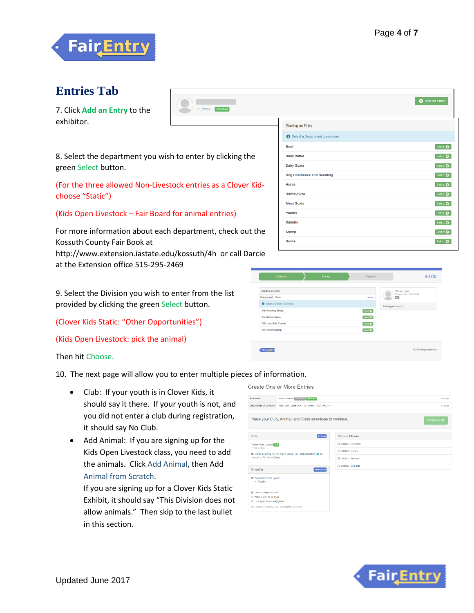

### **Entries Tab**

7. Click **Add an Entry** to the exhibitor.



8. Select the department you wish to enter by clicking the green Select button.

(For the three allowed Non-Livestock entries as a Clover Kidchoose "Static")

(Kids Open Livestock – Fair Board for animal entries)

For more information about each department, check out the Kossuth County Fair Book at

http://www.extension.iastate.edu/kossuth/4h or call Darcie at the Extension office 515-295-2469

9. Select the Division you wish to enter from the list provided by clicking the green Select button.

(Clover Kids Static: "Other Opportunities")

(Kids Open Livestock: pick the animal)

Then hit Choose.

10. The next page will allow you to enter multiple pieces of information.

- Club: If your youth is in Clover Kids, it should say it there. If your youth is not, and you did not enter a club during registration, it should say No Club.
- Add Animal: If you are signing up for the Kids Open Livestock class, you need to add the animals. Click Add Animal, then Add Animal from Scratch.

If you are signing up for a Clover Kids Static Exhibit, it should say "This Division does not allow animals." Then skip to the last bullet in this section.

|                                 | Add an Entry      |
|---------------------------------|-------------------|
|                                 |                   |
| <b>Starting an Entry</b>        |                   |
| Select a Department to continue |                   |
| <b>Beef</b>                     | Select $\bullet$  |
| <b>Dairy Cattle</b>             | Select $\bullet$  |
| <b>Dairy Goats</b>              | Select $\bullet$  |
| Dog Obedience and Handling      | Select $\bullet$  |
| Horse                           | Select $\bigcirc$ |
| Horticulture                    | Select $\bigcirc$ |
| <b>Meat Goats</b>               | Select $\bullet$  |
| <b>Poultry</b>                  | Select $\bullet$  |
| <b>Rabbits</b>                  | Select $\bigcirc$ |
| <b>Sheep</b><br>Swine           | Select $\bullet$  |
|                                 | Select $\bullet$  |

| <b>Exhibitors</b>                                    | <b>Entries</b> | Payment         | \$0.00                                  |
|------------------------------------------------------|----------------|-----------------|-----------------------------------------|
| Starting an Entry                                    |                |                 | Clover, Joe<br>15 years old - 1/01/2000 |
| Department Sheep                                     |                | Change          | <b>AG</b>                               |
| Select a Division to continue<br>251: Breeding Sheep |                | Select <b>O</b> | Existing entries (0)                    |
| 252: Market Sheep                                    |                | Select <b>O</b> |                                         |
| 258: Lean Gain Contest                               |                | Select <b>O</b> |                                         |
| 259: Showmanship                                     |                | Select O        |                                         |
|                                                      |                |                 |                                         |
| <b>Fair</b> Entry                                    |                |                 | © 2015 RegistrationMax                  |

Create One or More Entries



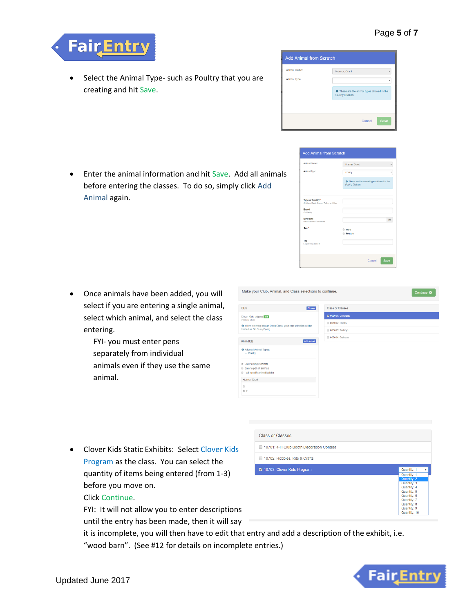

 Select the Animal Type- such as Poultry that you are creating and hit Save.



| Poultry                                                                 |
|-------------------------------------------------------------------------|
| <b>O</b> These are the animal types allowed in the<br>Poultry Division. |
|                                                                         |
|                                                                         |
| 曲                                                                       |
| <b>CLASS</b><br><b>E</b> emale                                          |
|                                                                         |
|                                                                         |

 Enter the animal information and hit Save. Add all animals before entering the classes. To do so, simply click Add Animal again.

- Once animals have been added, you will select if you are entering a single animal, select which animal, and select the class entering.
	- FYI- you must enter pens separately from individual animals even if they use the same animal.



 Clover Kids Static Exhibits: Select Clover Kids Program as the class. You can select the quantity of items being entered (from 1-3) before you move on.

#### Click Continue.

FYI: It will not allow you to enter descriptions

until the entry has been made, then it will say

**Class or Classes** 10701: 4-H Club Booth Decoration Contest 10702: Hobbies, Kits & Crafts 10703: Clover Kids Program Quantity: 1 Quantity: 3 Quantity: 4 Quantity: 5 Quantity: 6<br>Quantity: 7 Quantity: 8 Quantity: 9 Quantity: 10

it is incomplete, you will then have to edit that entry and add a description of the exhibit, i.e. "wood barn". (See #12 for details on incomplete entries.)

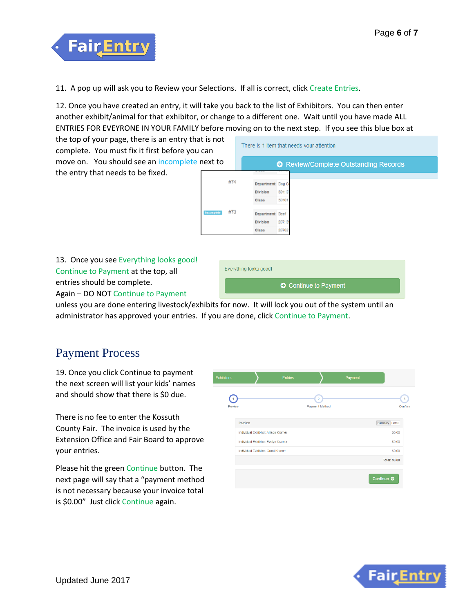

11. A pop up will ask you to Review your Selections. If all is correct, click Create Entries.

12. Once you have created an entry, it will take you back to the list of Exhibitors. You can then enter another exhibit/animal for that exhibitor, or change to a different one. Wait until you have made ALL ENTRIES FOR EVEYRONE IN YOUR FAMILY before moving on to the next step. If you see this blue box at

the top of your page, there is an entry that is not complete. You must fix it first before you can move on. You should see an incomplete next to the entry that needs to be fixed.



13. Once you see Everything looks good! Continue to Payment at the top, all entries should be complete. Again – DO NOT Continue to Payment



unless you are done entering livestock/exhibits for now. It will lock you out of the system until an administrator has approved your entries. If you are done, click Continue to Payment.

## Payment Process

19. Once you click Continue to payment the next screen will list your kids' names and should show that there is \$0 due.

There is no fee to enter the Kossuth County Fair. The invoice is used by the Extension Office and Fair Board to approve your entries.

Please hit the green Continue button. The next page will say that a "payment method is not necessary because your invoice total is \$0.00" Just click Continue again.